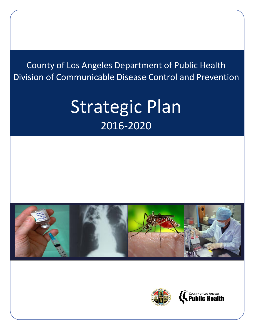County of Los Angeles Department of Public Health Division of Communicable Disease Control and Prevention

# Strategic Plan 2016-2020





**COUNTY OF LOS ANGELES**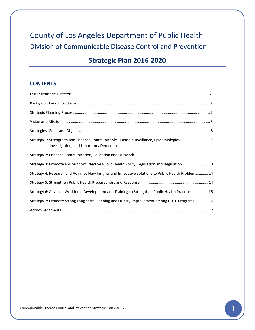# County of Los Angeles Department of Public Health Division of Communicable Disease Control and Prevention

# **Strategic Plan 2016-2020**

## **CONTENTS**

| Investigation, and Laboratory Detection                                                            |  |
|----------------------------------------------------------------------------------------------------|--|
|                                                                                                    |  |
| Strategy 3: Promote and Support Effective Public Health Policy, Legislation and Regulation13       |  |
| Strategy 4: Research and Advance New Insights and Innovative Solutions to Public Health Problems14 |  |
|                                                                                                    |  |
| Strategy 6: Advance Workforce Development and Training to Strengthen Public Health Practice15      |  |
| Strategy 7: Promote Strong Long-term Planning and Quality Improvement among CDCP Programs16        |  |
|                                                                                                    |  |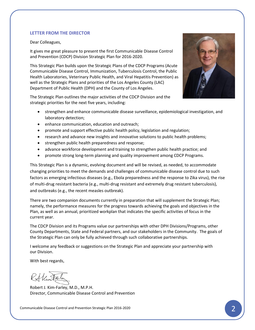#### **LETTER FROM THE DIRECTOR**

Dear Colleagues,

It gives me great pleasure to present the first Communicable Disease Control and Prevention (CDCP) Division Strategic Plan for 2016-2020.

This Strategic Plan builds upon the Strategic Plans of the CDCP Programs (Acute Communicable Disease Control, Immunization, Tuberculosis Control, the Public Health Laboratories, Veterinary Public Health, and Viral Hepatitis Prevention) as well as the Strategic Plans and priorities of the Los Angeles County (LAC) Department of Public Health (DPH) and the County of Los Angeles.

The Strategic Plan outlines the major activities of the CDCP Division and the strategic priorities for the next five years, including:



- strengthen and enhance communicable disease surveillance, epidemiological investigation, and laboratory detection;
- enhance communication, education and outreach;
- promote and support effective public health policy, legislation and regulation;
- research and advance new insights and innovative solutions to public health problems;
- strengthen public health preparedness and response;
- advance workforce development and training to strengthen public health practice; and
- promote strong long-term planning and quality improvement among CDCP Programs.

This Strategic Plan is a dynamic, evolving document and will be revised, as needed, to accommodate changing priorities to meet the demands and challenges of communicable disease control due to such factors as emerging infectious diseases (e.g., Ebola preparedness and the response to Zika virus), the rise of multi-drug resistant bacteria (e.g., multi-drug resistant and extremely drug resistant tuberculosis), and outbreaks (e.g., the recent measles outbreak).

There are two companion documents currently in preparation that will supplement the Strategic Plan; namely, the performance measures for the progress towards achieving the goals and objectives in the Plan, as well as an annual, prioritized workplan that indicates the specific activities of focus in the current year.

The CDCP Division and its Programs value our partnerships with other DPH Divisions/Programs, other County Departments, State and Federal partners, and our stakeholders in the Community. The goals of the Strategic Plan can only be fully achieved through such collaborative partnerships.

I welcome any feedback or suggestions on the Strategic Plan and appreciate your partnership with our Division.

With best regards,

Robert J. Kim-Farley, M.D., M.P.H. Director, Communicable Disease Control and Prevention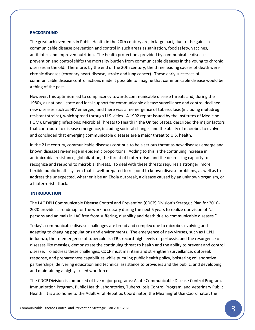#### **BACKGROUND**

The great achievements in Public Health in the 20th century are, in large part, due to the gains in communicable disease prevention and control in such areas as sanitation, food safety, vaccines, antibiotics and improved nutrition. The health protections provided by communicable disease prevention and control shifts the mortality burden from communicable diseases in the young to chronic diseases in the old. Therefore, by the end of the 20th century, the three leading causes of death were chronic diseases (coronary heart disease, stroke and lung cancer). These early successes of communicable disease control actions made it possible to imagine that communicable disease would be a thing of the past.

However, this optimism led to complacency towards communicable disease threats and, during the 1980s, as national, state and local support for communicable disease surveillance and control declined, new diseases such as HIV emerged; and there was a reemergence of tuberculosis (including multidrug resistant strains), which spread through U.S. cities. A 1992 report issued by the Institutes of Medicine (IOM), Emerging Infections: Microbial Threats to Health in the United States, described the major factors that contribute to disease emergence, including societal changes and the ability of microbes to evolve and concluded that emerging communicable diseases are a major threat to U.S. health.

In the 21st century, communicable diseases continue to be a serious threat as new diseases emerge and known diseases re-emerge in epidemic proportions. Adding to this is the continuing increase in antimicrobial resistance, globalization, the threat of bioterrorism and the decreasing capacity to recognize and respond to microbial threats. To deal with these threats requires a stronger, more flexible public health system that is well-prepared to respond to known disease problems, as well as to address the unexpected, whether it be an Ebola outbreak, a disease caused by an unknown organism, or a bioterrorist attack.

#### **INTRODUCTION**

The LAC DPH Communicable Disease Control and Prevention (CDCP) Division's Strategic Plan for 2016- 2020 provides a roadmap for the work necessary during the next 5 years to realize our vision of "all persons and animals in LAC free from suffering, disability and death due to communicable diseases."

Today's communicable disease challenges are broad and complex due to microbes evolving and adapting to changing populations and environments. The emergence of new viruses, such as H1N1 influenza, the re-emergence of tuberculosis (TB), record-high levels of pertussis, and the resurgence of diseases like measles, demonstrate the continuing threat to health and the ability to prevent and control disease. To address these challenges, CDCP must maintain and strengthen surveillance, outbreak response, and preparedness capabilities while pursuing public health policy, bolstering collaborative partnerships, delivering education and technical assistance to providers and the public, and developing and maintaining a highly skilled workforce.

The CDCP Division is comprised of five major programs: Acute Communicable Disease Control Program, Immunization Program, Public Health Laboratories, Tuberculosis Control Program, and Veterinary Public Health. It is also home to the Adult Viral Hepatitis Coordinator, the Meaningful Use Coordinator, the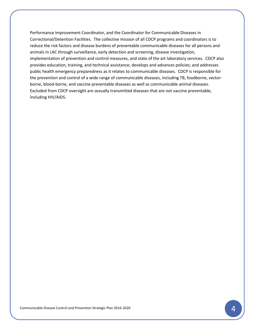Performance Improvement Coordinator, and the Coordinator for Communicable Diseases in Correctional/Detention Facilities. The collective mission of all CDCP programs and coordinators is to reduce the risk factors and disease burdens of preventable communicable diseases for all persons and animals in LAC through surveillance, early detection and screening, disease investigation, implementation of prevention and control measures, and state of the art laboratory services. CDCP also provides education, training, and technical assistance; develops and advances policies; and addresses public health emergency preparedness as it relates to communicable diseases. CDCP is responsible for the prevention and control of a wide range of communicable diseases, including TB, foodborne, vectorborne, blood-borne, and vaccine preventable diseases as well as communicable animal diseases. Excluded from CDCP oversight are sexually transmitted diseases that are not vaccine preventable, including HIV/AIDS.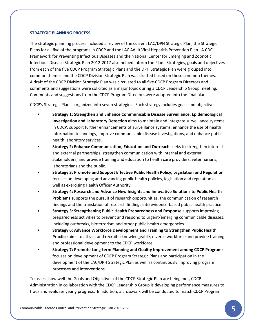#### **STRATEGIC PLANNING PROCESS**

The strategic planning process included a review of the current LAC/DPH Strategic Plan, the Strategic Plans for all five of the programs in CDCP and the LAC Adult Viral Hepatitis Prevention Plan. A CDC Framework for Preventing Infectious Diseases and the National Center for Emerging and Zoonotic Infectious Disease Strategic Plan 2012-2017 also helped inform the Plan. Strategies, goals and objectives from each of the five CDCP Program Strategic Plans and the DPH Strategic Plan were grouped into common themes and the CDCP Division Strategic Plan was drafted based on these common themes. A draft of the CDCP Division Strategic Plan was circulated to all five CDCP Program Directors and comments and suggestions were solicited as a major topic during a CDCP Leadership Group meeting. Comments and suggestions from the CDCP Program Directors were adapted into the final plan.

CDCP's Strategic Plan is organized into seven strategies. Each strategy includes goals and objectives.

- **Strategy 1: Strengthen and Enhance Communicable Disease Surveillance, Epidemiological Investigation and Laboratory Detection** aims to maintain and integrate surveillance systems in CDCP, support further enhancements of surveillance systems, enhance the use of health information technology, improve communicable disease investigations, and enhance public health laboratory services.
- **Strategy 2: Enhance Communication, Education and Outreach** seeks to strengthen internal and external partnerships; strengthen communication with internal and external stakeholders; and provide training and education to health care providers, veterinarians, laboratorians and the public.
- **Strategy 3: Promote and Support Effective Public Health Policy, Legislation and Regulation** focuses on developing and advancing public health policies, legislation and regulation as well as exercising Health Officer Authority.
- **Strategy 4: Research and Advance New Insights and Innovative Solutions to Public Health Problems** supports the pursuit of research opportunities, the communication of research findings and the translation of research findings into evidence-based public health practice.
- **Strategy 5: Strengthening Public Health Preparedness and Response** supports improving preparedness activities to prevent and respond to urgent/emerging communicable diseases, including outbreaks, bioterrorism and other public health emergencies.
- **Strategy 6: Advance Workforce Development and Training to Strengthen Public Health Practice** aims to attract and recruit a knowledgeable, diverse workforce and provide training and professional development to the CDCP workforce.
- **Strategy 7: Promote Long-term Planning and Quality Improvement among CDCP Programs**  focuses on development of CDCP Program Strategic Plans and participation in the development of the LAC/DPH Strategic Plan as well as continuously improving program processes and interventions.

To assess how well the Goals and Objectives of the CDCP Strategic Plan are being met, CDCP Administration in collaboration with the CDCP Leadership Group is developing performance measures to track and evaluate yearly progress. In addition, a crosswalk will be conducted to match CDCP Program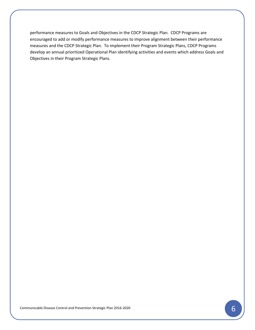performance measures to Goals and Objectives in the CDCP Strategic Plan. CDCP Programs are encouraged to add or modify performance measures to improve alignment between their performance measures and the CDCP Strategic Plan. To implement their Program Strategic Plans, CDCP Programs develop an annual prioritized Operational Plan identifying activities and events which address Goals and Objectives in their Program Strategic Plans.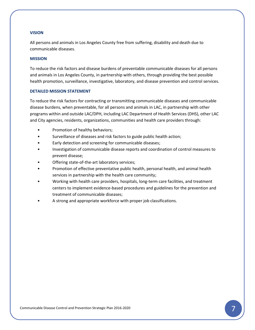#### **VISION**

All persons and animals in Los Angeles County free from suffering, disability and death due to communicable diseases.

#### **MISSION**

To reduce the risk factors and disease burdens of preventable communicable diseases for all persons and animals in Los Angeles County, in partnership with others, through providing the best possible health promotion, surveillance, investigative, laboratory, and disease prevention and control services.

#### **DETAILED MISSION STATEMENT**

To reduce the risk factors for contracting or transmitting communicable diseases and communicable disease burdens, when preventable, for all persons and animals in LAC, in partnership with other programs within and outside LAC/DPH, including LAC Department of Health Services (DHS), other LAC and City agencies, residents, organizations, communities and health care providers through:

- Promotion of healthy behaviors;
- Surveillance of diseases and risk factors to guide public health action;
- Early detection and screening for communicable diseases;
- Investigation of communicable disease reports and coordination of control measures to prevent disease;
- Offering state-of-the-art laboratory services;
- Promotion of effective preventative public health, personal health, and animal health services in partnership with the health care community;
- Working with health care providers, hospitals, long-term care facilities, and treatment centers to implement evidence-based procedures and guidelines for the prevention and treatment of communicable diseases;
- A strong and appropriate workforce with proper job classifications.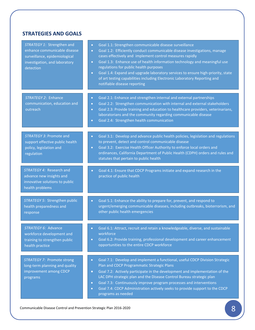# **STRATEGIES AND GOALS**

| STRATEGY 1: Strengthen and<br>enhance communicable disease<br>surveillance, epidemiological<br>investigation, and laboratory<br>detection | Goal 1.1: Strengthen communicable disease surveillance<br>$\bullet$<br>Goal 1.2: Efficiently conduct communicable disease investigations, manage<br>$\bullet$<br>cases effectively and implement control measures rapidly<br>Goal 1.3: Enhance use of health information technology and meaningful use<br>$\bullet$<br>regulations for public health purposes<br>Goal 1.4: Expand and upgrade laboratory services to ensure high-priority, state<br>$\bullet$<br>of art testing capabilities including Electronic Laboratory Reporting and<br>notifiable disease reporting |
|-------------------------------------------------------------------------------------------------------------------------------------------|----------------------------------------------------------------------------------------------------------------------------------------------------------------------------------------------------------------------------------------------------------------------------------------------------------------------------------------------------------------------------------------------------------------------------------------------------------------------------------------------------------------------------------------------------------------------------|
| <b>STRATEGY 2: Enhance</b><br>communication, education and<br>outreach                                                                    | Goal 2.1: Enhance and strengthen internal and external partnerships<br>$\bullet$<br>Goal 2.2: Strengthen communication with internal and external stakeholders<br>$\bullet$<br>Goal 2.3: Provide training and education to healthcare providers, veterinarians,<br>$\bullet$<br>laboratorians and the community regarding communicable disease<br>Goal 2.4: Strengthen health communication<br>$\bullet$                                                                                                                                                                   |
| STRATEGY 3: Promote and<br>support effective public health<br>policy, legislation and<br>regulation                                       | Goal 3.1: Develop and advance public health policies, legislation and regulations<br>$\bullet$<br>to prevent, detect and control communicable disease<br>Goal 3.2: Exercise Health Officer Authority to enforce local orders and<br>$\bullet$<br>ordinances, California Department of Public Health (CDPH) orders and rules and<br>statutes that pertain to public health                                                                                                                                                                                                  |
| <b>STRATEGY 4: Research and</b><br>advance new insights and<br>innovative solutions to public<br>health problems                          | Goal 4.1: Ensure that CDCP Programs initiate and expand research in the<br>$\bullet$<br>practice of public health                                                                                                                                                                                                                                                                                                                                                                                                                                                          |
| STRATEGY 5: Strengthen public<br>health preparedness and<br>response                                                                      | Goal 5.1: Enhance the ability to prepare for, prevent, and respond to<br>$\bullet$<br>urgent/emerging communicable diseases, including outbreaks, bioterrorism, and<br>other public health emergencies                                                                                                                                                                                                                                                                                                                                                                     |
| STRATEGY 6: Advance<br>workforce development and<br>training to strengthen public<br>health practice                                      | Goal 6.1: Attract, recruit and retain a knowledgeable, diverse, and sustainable<br>$\bullet$<br>workforce<br>Goal 6.2: Provide training, professional development and career enhancement<br>$\bullet$<br>opportunities to the entire CDCP workforce                                                                                                                                                                                                                                                                                                                        |
| STRATEGY 7: Promote strong<br>long-term planning and quality<br>improvement among CDCP<br>programs                                        | Goal 7.1: Develop and implement a functional, useful CDCP Division Strategic<br>$\bullet$<br>Plan and CDCP Programmatic Strategic Plans<br>Goal 7.2: Actively participate in the development and implementation of the<br>$\bullet$<br>LAC DPH strategic plan and the Disease Control Bureau strategic plan<br>Goal 7.3: Continuously improve program processes and interventions<br>$\bullet$<br>Goal 7.4: CDCP Administration actively seeks to provide support to the CDCP<br>$\bullet$<br>programs as needed                                                           |

Communicable Disease Control and Prevention Strategic Plan 2016-2020 **8**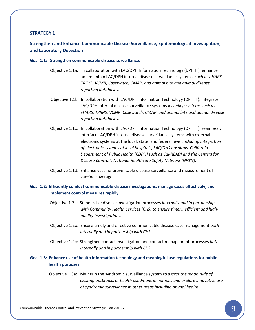## **Strengthen and Enhance Communicable Disease Surveillance, Epidemiological Investigation, and Laboratory Detection**

#### **Goal 1.1: Strengthen communicable disease surveillance.**

- Objective 1.1a: In collaboration with LAC/DPH Information Technology (DPH IT), enhance and maintain LAC/DPH internal disease surveillance systems, *such as eHARS TRIMS, VCMR, Casewatch, CMAP, and animal bite and animal disease reporting databases.*
- Objective 1.1b: In collaboration with LAC/DPH Information Technology (DPH IT), integrate LAC/DPH internal disease surveillance systems *including systems such as eHARS, TRIMS, VCMR, Casewatch, CMAP, and animal bite and animal disease reporting databases.*
- Objective 1.1c: In collaboration with LAC/DPH Information Technology (DPH IT), seamlessly interface LAC/DPH internal disease surveillance systems with external electronic systems at the local, state, and federal level *including integration of electronic systems of local hospitals, LAC/DHS hospitals, California Department of Public Health (CDPH) such as Cal-READI and the Centers for Disease Control's National Healthcare Safety Network (NHSN).*
- Objective 1.1d: Enhance vaccine-preventable disease surveillance and measurement of vaccine coverage.

#### **Goal 1.2: Efficiently conduct communicable disease investigations, manage cases effectively, and implement control measures rapidly.**

- Objective 1.2a: Standardize disease investigation processes *internally and in partnership with Community Health Services (CHS) to ensure timely, efficient and highquality investigations.*
- Objective 1.2b: Ensure timely and effective communicable disease case management *both internally and in partnership with CHS.*
- Objective 1.2c: Strengthen contact investigation and contact management processes *both internally and in partnership with CHS.*

### **Goal 1.3: Enhance use of health information technology and meaningful use regulations for public health purposes.**

 Objective 1.3a: Maintain the syndromic surveillance system *to assess the magnitude of existing outbreaks or health conditions in humans and explore innovative use of syndromic surveillance in other areas including animal health.*

Communicable Disease Control and Prevention Strategic Plan 2016-2020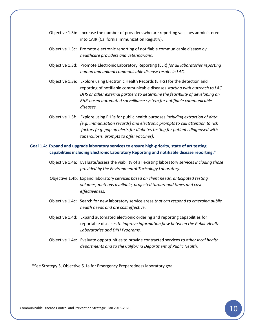- Objective 1.3b: Increase the number of providers who are reporting vaccines administered into CAIR (California Immunization Registry).
- Objective 1.3c: Promote electronic reporting of notifiable communicable disease *by healthcare providers and veterinarians.*
- Objective 1.3d: Promote Electronic Laboratory Reporting (ELR) *for all laboratories reporting human and animal communicable disease results in LAC.*
- Objective 1.3e: Explore using Electronic Health Records (EHRs) for the detection and reporting of notifiable communicable diseases *starting with outreach to LAC DHS or other external partners to determine the feasibility of developing an EHR-based automated surveillance system for notifiable communicable diseases.*
- Objective 1.3f: Explore using EHRs for public health purposes *including extraction of data (e.g. immunization records) and electronic prompts to call attention to risk factors (e.g. pop up alerts for diabetes testing for patients diagnosed with tuberculosis, prompts to offer vaccines).*

#### **Goal 1.4: Expand and upgrade laboratory services to ensure high-priority, state of art testing capabilities including Electronic Laboratory Reporting and notifiable disease reporting.\***

- Objective 1.4a: Evaluate/assess the viability of all existing laboratory services *including those provided by the Environmental Toxicology Laboratory.*
- Objective 1.4b: Expand laboratory services *based on client needs, anticipated testing volumes, methods available, projected turnaround times and cost effectiveness.*
- Objective 1.4c: Search for new laboratory service areas *that can respond to emerging public health needs and are cost effective.*
- Objective 1.4d: Expand automated electronic ordering and reporting capabilities for reportable diseases *to improve information flow between the Public Health Laboratories and DPH Programs.*
- Objective 1.4e: Evaluate opportunities to provide contracted services *to other local health departments and to the California Department of Public Health.*

\*See Strategy 5, Objective 5.1a for Emergency Preparedness laboratory goal.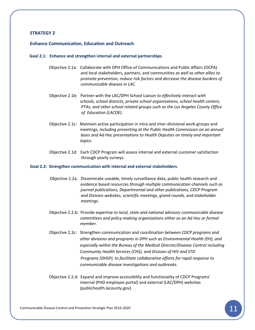#### **Enhance Communication, Education and Outreach**

#### **Goal 2.1: Enhance and strengthen internal and external partnerships.**

- Objective 2.1a: Collaborate with DPH Office of Communications and Public Affairs (OCPA) and local stakeholders, partners, and communities *as well as other allies to promote prevention, reduce risk factors and decrease the disease burdens of communicable disease in LAC.*
- Objective 2.1b: Partner with the LAC/DPH School Liaison *to effectively interact with schools, school districts, private school organizations, school health centers, PTAs, and other school related groups such as the Los Angeles County Office of Education (LACOE).*
- Objective 2.1c: Maintain active participation in intra and inter-divisional work-groups and meetings, *including presenting at the Public Health Commission on an annual basis and Ad Hoc presentations to Health Deputies on timely and important topics.*
- Objective 2.1d: Each CDCP Program will assess internal and external customer satisfaction through yearly surveys.

#### **Goal 2.2: Strengthen communication with internal and external stakeholders.**

- Objective 2.2a: Disseminate useable, timely surveillance data, public health research and evidence based resources *through multiple communication channels such as journal publications, Departmental and other publications, CDCP Program and Division websites, scientific meetings, grand rounds, and stakeholder meetings.*
- Objective 2.2.b: Provide expertise *to local, state and national advisory communicable disease committees and policy-making organizations either as an Ad Hoc or formal member.*
- Objective 2.2c: Strengthen communication and coordination *between CDCP programs and other divisions and programs in DPH such as Environmental Health (EH), and especially within the Bureau of the Medical Director/Disease Control including Community Health Services (CHS), and Division of HIV and STD Programs (DHSP), to facilitate collaborative efforts for rapid response to communicable disease investigations and outbreaks.*
- Objective 2.2.d: Expand and improve accessibility and functionality of CDCP Programs' internal (PHD employee portal) and external (LAC/DPH) websites (publichealth.lacounty.gov).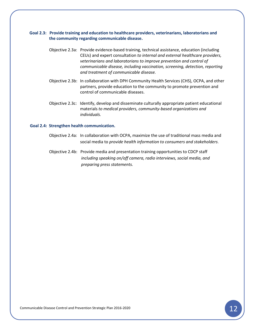#### **Goal 2.3: Provide training and education to healthcare providers, veterinarians, laboratorians and the community regarding communicable disease.**

- Objective 2.3a: Provide evidence-based training, technical assistance, education (including CEUs) and expert consultation *to internal and external healthcare providers, veterinarians and laboratorians to improve prevention and control of communicable disease, including vaccination, screening, detection, reporting and treatment of communicable disease.*
- Objective 2.3b: In collaboration with DPH Community Health Services (CHS), OCPA, and other partners, provide education to the community to promote prevention and control of communicable diseases.
- Objective 2.3c: Identify, develop and disseminate culturally appropriate patient educational materials *to medical providers, community-based organizations and individuals.*

#### **Goal 2.4: Strengthen health communication.**

- Objective 2.4a: In collaboration with OCPA, maximize the use of traditional mass media and social media to *provide health information to consumers and stakeholders*.
- Objective 2.4b: Provide media and presentation training opportunities to CDCP staff *including speaking on/off camera, radio interviews, social media, and preparing press statements.*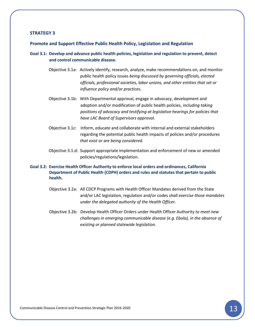#### **Promote and Support Effective Public Health Policy, Legislation and Regulation**

- **Goal 3.1: Develop and advance public health policies, legislation and regulation to prevent, detect and control communicable disease.**
	- Objective 3.1a: Actively identify, research, analyze, make recommendations on, and monitor public health policy issues *being discussed by governing officials, elected officials, professional societies, labor unions, and other entities that set or influence policy and/or practices.*
	- Objective 3.1b: With Departmental approval, engage in advocacy, development and adoption and/or modification of public health policies, *including taking positions of advocacy and testifying at legislative hearings for policies that have LAC Board of Supervisors approval.*
	- Objective 3.1c: Inform, educate and collaborate with internal and external stakeholders regarding the potential public health impacts of policies and/or procedures *that exist or are being considered.*
	- Objective 3.1.d: Support appropriate implementation and enforcement of new or amended policies/regulations/legislation.

#### **Goal 3.2: Exercise Health Officer Authority to enforce local orders and ordinances, California Department of Public Health (CDPH) orders and rules and statutes that pertain to public health.**

- Objective 3.2a: All CDCP Programs with Health Officer Mandates derived from the State and/or LAC legislation, regulation and/or codes *shall exercise those mandates under the delegated authority of the Health Officer.*
- Objective 3.2b: Develop Health Officer Orders under Health Officer Authority *to meet new challenges in emerging communicable disease (e.g. Ebola), in the absence of existing or planned statewide legislation.*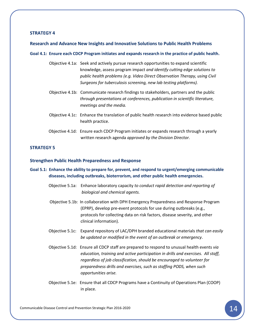#### **Research and Advance New Insights and Innovative Solutions to Public Health Problems**

#### **Goal 4.1: Ensure each CDCP Program initiates and expands research in the practice of public health.**

- Objective 4.1a: Seek and actively pursue research opportunities to expand scientific knowledge, assess program impact *and identify cutting edge solutions to public health problems (e.g. Video Direct Observation Therapy, using Civil Surgeons for tuberculosis screening, new lab testing platforms).*
- Objective 4.1b: Communicate research findings to stakeholders, partners and the public *through presentations at conferences, publication in scientific literature, meetings and the media.*
- Objective 4.1c: Enhance the translation of public health research into evidence based public health practice.
- Objective 4.1d: Ensure each CDCP Program initiates or expands research through a yearly written research agenda *approved by the Division Director.*

#### **STRATEGY 5**

#### **Strengthen Public Health Preparedness and Response**

- **Goal 5.1: Enhance the ability to prepare for, prevent, and respond to urgent/emerging communicable diseases, including outbreaks, bioterrorism, and other public health emergencies.** 
	- Objective 5.1a: Enhance laboratory capacity *to conduct rapid detection and reporting of biological and chemical agents.*
	- Objective 5.1b: In collaboration with DPH Emergency Preparedness and Response Program (EPRP), develop pre-event protocols for use during outbreaks (e.g., protocols for collecting data on risk factors, disease severity, and other clinical information).
	- Objective 5.1c: Expand repository of LAC/DPH branded educational materials *that can easily be updated or modified in the event of an outbreak or emergency*.
	- Objective 5.1d: Ensure all CDCP staff are prepared to respond to unusual health events *via education, training and active participation in drills and exercises. All staff, regardless of job classification, should be encouraged to volunteer for preparedness drills and exercises, such as staffing PODS, when such opportunities arise.*
	- Objective 5.1e: Ensure that all CDCP Programs have a Continuity of Operations Plan (COOP) in place.

Communicable Disease Control and Prevention Strategic Plan 2016-2020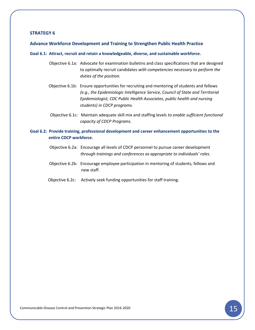#### **Advance Workforce Development and Training to Strengthen Public Health Practice**

#### **Goal 6.1: Attract, recruit and retain a knowledgeable, diverse, and sustainable workforce.**

- Objective 6.1a: Advocate for examination bulletins and class specifications that are designed to optimally recruit candidates *with competencies necessary to perform the duties of the position.*
- Objective 6.1b: Ensure opportunities for recruiting and mentoring of students and fellows *(e.g., the Epidemiologic Intelligence Service, Council of State and Territorial Epidemiologist, CDC Public Health Associates, public health and nursing students) in CDCP programs.*
- Objective 6.1c: Maintain adequate skill mix and staffing levels *to enable sufficient functional capacity of CDCP Programs.*

#### **Goal 6.2: Provide training, professional development and career enhancement opportunities to the entire CDCP workforce.**

- Objective 6.2a: Encourage all levels of CDCP personnel to pursue career development *through trainings and conferences as appropriate to individuals' roles.*
- Objective 6.2b: Encourage employee participation in mentoring of students, fellows and new staff.
- Objective 6.2c: Actively seek funding opportunities for staff training.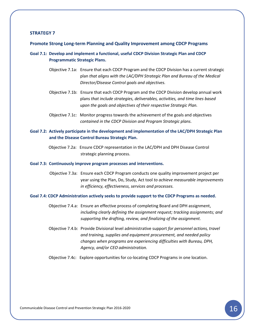#### **Promote Strong Long-term Planning and Quality Improvement among CDCP Programs**

- **Goal 7.1: Develop and implement a functional, useful CDCP Division Strategic Plan and CDCP Programmatic Strategic Plans.**
	- Objective 7.1a: Ensure that each CDCP Program and the CDCP Division has a current strategic plan *that aligns with the LAC/DPH Strategic Plan and Bureau of the Medical Director/Disease Control goals and objectives.*
	- Objective 7.1b: Ensure that each CDCP Program and the CDCP Division develop annual work plans *that include strategies, deliverables, activities, and time lines based upon the goals and objectives of their respective Strategic Plan.*
	- Objective 7.1c: Monitor progress towards the achievement of the goals and objectives *contained in the CDCP Division and Program Strategic plans.*

#### **Goal 7.2: Actively participate in the development and implementation of the LAC/DPH Strategic Plan and the Disease Control Bureau Strategic Plan.**

 Objective 7.2a: Ensure CDCP representation in the LAC/DPH and DPH Disease Control strategic planning process.

#### **Goal 7.3: Continuously improve program processes and interventions.**

Objective 7.3a: Ensure each CDCP Program conducts one quality improvement project per year using the Plan, Do, Study, Act tool *to achieve measurable improvements in efficiency, effectiveness, services and processes.*

#### **Goal 7.4: CDCP Administration actively seeks to provide support to the CDCP Programs as needed.**

- Objective 7.4.a: Ensure an effective process of completing Board and DPH assignment, *including clearly defining the assignment request; tracking assignments; and supporting the drafting, review, and finalizing of the assignment.*
- Objective 7.4.b: Provide Divisional level administrative support *for personnel actions, travel and training, supplies and equipment procurement, and needed policy changes when programs are experiencing difficulties with Bureau, DPH, Agency, and/or CEO administration.*

Objective 7.4c: Explore opportunities for co-locating CDCP Programs in one location.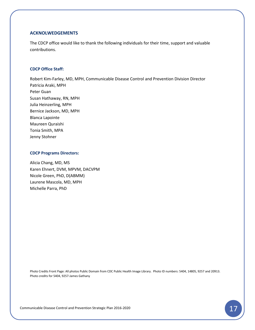#### **ACKNOLWEDGEMENTS**

The CDCP office would like to thank the following individuals for their time, support and valuable contributions.

#### **CDCP Office Staff:**

Robert Kim-Farley, MD, MPH, Communicable Disease Control and Prevention Division Director Patricia Araki, MPH Peter Guan Susan Hathaway, RN, MPH Julia Heinzerling, MPH Bernice Jackson, MD, MPH Blanca Lapointe Maureen Quraishi Tonia Smith, MPA Jenny Stohner

#### **CDCP Programs Directors:**

Alicia Chang, MD, MS Karen Ehnert, DVM, MPVM, DACVPM Nicole Green, PhD, D(ABMM) Laurene Mascola, MD, MPH Michelle Parra, PhD

Photo Credits Front Page: All photos Public Domain from CDC Public Health Image Library. Photo ID numbers: 5404, 14805, 9257 and 20913. Photo credits for 5404, 9257-James Gathany